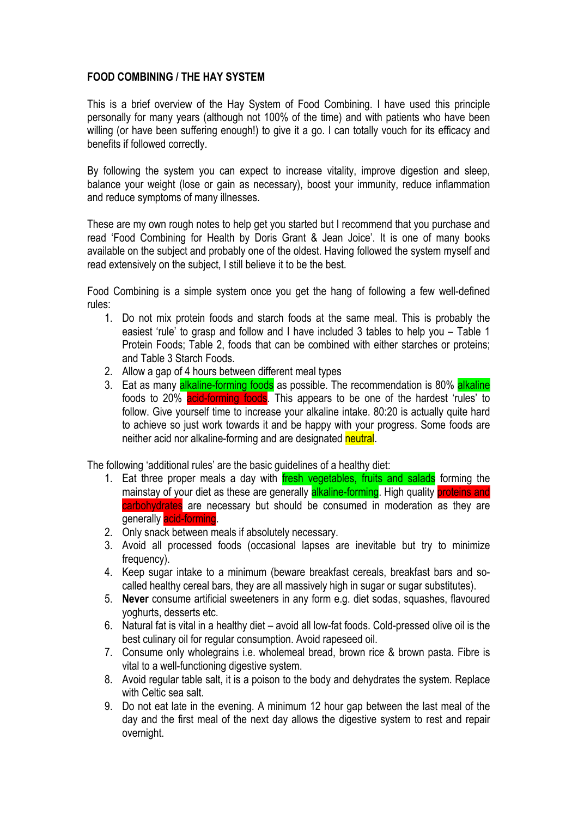## **FOOD COMBINING / THE HAY SYSTEM**

This is a brief overview of the Hay System of Food Combining. I have used this principle personally for many years (although not 100% of the time) and with patients who have been willing (or have been suffering enough!) to give it a go. I can totally vouch for its efficacy and benefits if followed correctly.

By following the system you can expect to increase vitality, improve digestion and sleep, balance your weight (lose or gain as necessary), boost your immunity, reduce inflammation and reduce symptoms of many illnesses.

These are my own rough notes to help get you started but I recommend that you purchase and read 'Food Combining for Health by Doris Grant & Jean Joice'. It is one of many books available on the subject and probably one of the oldest. Having followed the system myself and read extensively on the subject, I still believe it to be the best.

Food Combining is a simple system once you get the hang of following a few well-defined rules:

- 1. Do not mix protein foods and starch foods at the same meal. This is probably the easiest 'rule' to grasp and follow and I have included 3 tables to help you – Table 1 Protein Foods; Table 2, foods that can be combined with either starches or proteins; and Table 3 Starch Foods.
- 2. Allow a gap of 4 hours between different meal types
- 3. Eat as many alkaline-forming foods as possible. The recommendation is 80% alkaline foods to 20% acid-forming foods. This appears to be one of the hardest 'rules' to follow. Give yourself time to increase your alkaline intake. 80:20 is actually quite hard to achieve so just work towards it and be happy with your progress. Some foods are neither acid nor alkaline-forming and are designated neutral.

The following 'additional rules' are the basic guidelines of a healthy diet:

- 1. Eat three proper meals a day with fresh vegetables, fruits and salads forming the mainstay of your diet as these are generally **alkaline-forming**. High quality **proteins and** carbohydrates are necessary but should be consumed in moderation as they are generally acid-forming.
- 2. Only snack between meals if absolutely necessary.
- 3. Avoid all processed foods (occasional lapses are inevitable but try to minimize frequency).
- 4. Keep sugar intake to a minimum (beware breakfast cereals, breakfast bars and socalled healthy cereal bars, they are all massively high in sugar or sugar substitutes).
- 5. **Never** consume artificial sweeteners in any form e.g. diet sodas, squashes, flavoured yoghurts, desserts etc.
- 6. Natural fat is vital in a healthy diet avoid all low-fat foods. Cold-pressed olive oil is the best culinary oil for regular consumption. Avoid rapeseed oil.
- 7. Consume only wholegrains i.e. wholemeal bread, brown rice & brown pasta. Fibre is vital to a well-functioning digestive system.
- 8. Avoid regular table salt, it is a poison to the body and dehydrates the system. Replace with Celtic sea salt.
- 9. Do not eat late in the evening. A minimum 12 hour gap between the last meal of the day and the first meal of the next day allows the digestive system to rest and repair overnight.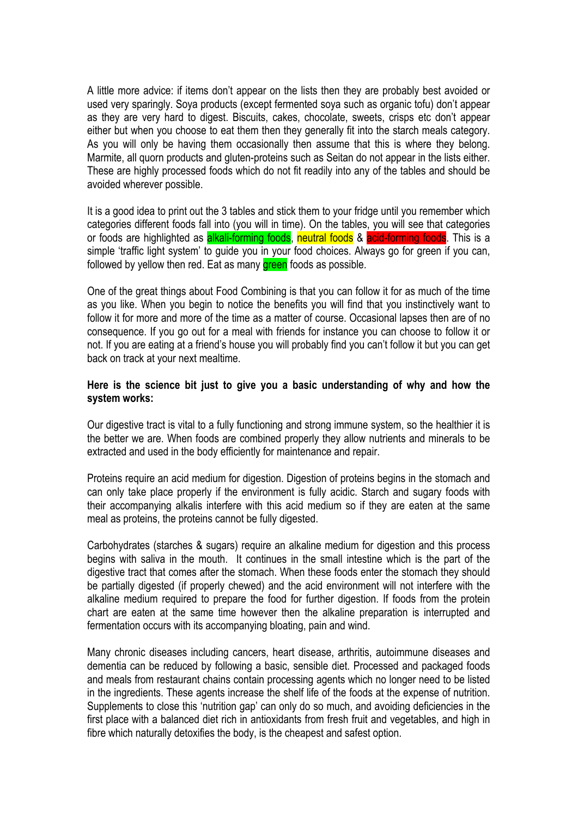A little more advice: if items don't appear on the lists then they are probably best avoided or used very sparingly. Soya products (except fermented soya such as organic tofu) don't appear as they are very hard to digest. Biscuits, cakes, chocolate, sweets, crisps etc don't appear either but when you choose to eat them then they generally fit into the starch meals category. As you will only be having them occasionally then assume that this is where they belong. Marmite, all quorn products and gluten-proteins such as Seitan do not appear in the lists either. These are highly processed foods which do not fit readily into any of the tables and should be avoided wherever possible.

It is a good idea to print out the 3 tables and stick them to your fridge until you remember which categories different foods fall into (you will in time). On the tables, you will see that categories or foods are highlighted as alkali-forming foods, neutral foods & acid-forming foods. This is a simple 'traffic light system' to guide you in your food choices. Always go for green if you can, followed by yellow then red. Eat as many **green** foods as possible.

One of the great things about Food Combining is that you can follow it for as much of the time as you like. When you begin to notice the benefits you will find that you instinctively want to follow it for more and more of the time as a matter of course. Occasional lapses then are of no consequence. If you go out for a meal with friends for instance you can choose to follow it or not. If you are eating at a friend's house you will probably find you can't follow it but you can get back on track at your next mealtime.

## **Here is the science bit just to give you a basic understanding of why and how the system works:**

Our digestive tract is vital to a fully functioning and strong immune system, so the healthier it is the better we are. When foods are combined properly they allow nutrients and minerals to be extracted and used in the body efficiently for maintenance and repair.

Proteins require an acid medium for digestion. Digestion of proteins begins in the stomach and can only take place properly if the environment is fully acidic. Starch and sugary foods with their accompanying alkalis interfere with this acid medium so if they are eaten at the same meal as proteins, the proteins cannot be fully digested.

Carbohydrates (starches & sugars) require an alkaline medium for digestion and this process begins with saliva in the mouth. It continues in the small intestine which is the part of the digestive tract that comes after the stomach. When these foods enter the stomach they should be partially digested (if properly chewed) and the acid environment will not interfere with the alkaline medium required to prepare the food for further digestion. If foods from the protein chart are eaten at the same time however then the alkaline preparation is interrupted and fermentation occurs with its accompanying bloating, pain and wind.

Many chronic diseases including cancers, heart disease, arthritis, autoimmune diseases and dementia can be reduced by following a basic, sensible diet. Processed and packaged foods and meals from restaurant chains contain processing agents which no longer need to be listed in the ingredients. These agents increase the shelf life of the foods at the expense of nutrition. Supplements to close this 'nutrition gap' can only do so much, and avoiding deficiencies in the first place with a balanced diet rich in antioxidants from fresh fruit and vegetables, and high in fibre which naturally detoxifies the body, is the cheapest and safest option.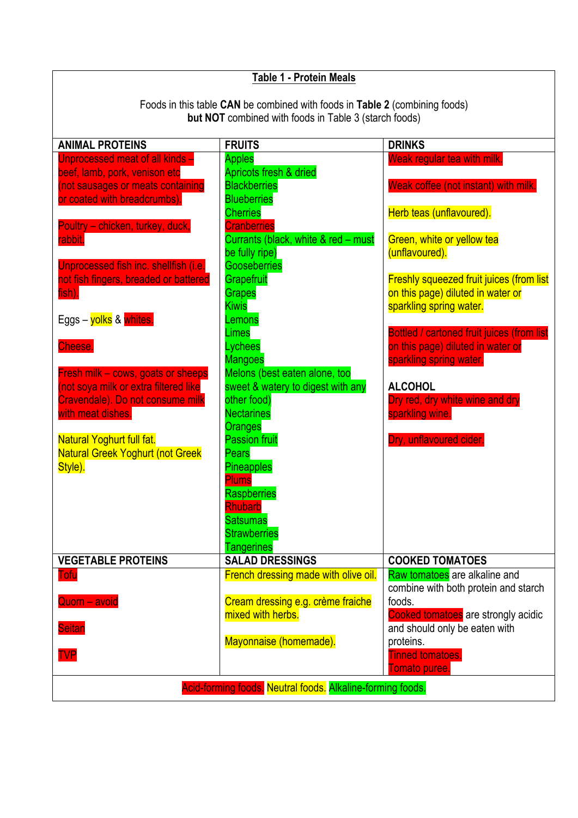| <b>Table 1 - Protein Meals</b>                                              |                                                        |                                                              |  |  |  |
|-----------------------------------------------------------------------------|--------------------------------------------------------|--------------------------------------------------------------|--|--|--|
|                                                                             |                                                        |                                                              |  |  |  |
| Foods in this table CAN be combined with foods in Table 2 (combining foods) |                                                        |                                                              |  |  |  |
| <b>but NOT</b> combined with foods in Table 3 (starch foods)                |                                                        |                                                              |  |  |  |
| <b>ANIMAL PROTEINS</b>                                                      | <b>FRUITS</b>                                          | <b>DRINKS</b>                                                |  |  |  |
| Unprocessed meat of all kinds -                                             | <b>Apples</b>                                          | Weak regular tea with milk.                                  |  |  |  |
| beef, lamb, pork, venison etc                                               | Apricots fresh & dried                                 |                                                              |  |  |  |
| (not sausages or meats containing                                           | <b>Blackberries</b>                                    | Weak coffee (not instant) with milk.                         |  |  |  |
| or coated with breadcrumbs).                                                | <b>Blueberries</b><br><b>Cherries</b>                  | Herb teas (unflavoured).                                     |  |  |  |
| Poultry - chicken, turkey, duck,                                            | <b>Cranberries</b>                                     |                                                              |  |  |  |
| rabbit.                                                                     | Currants (black, white & red - must                    | Green, white or yellow tea                                   |  |  |  |
|                                                                             | be fully ripe)                                         | (unflavoured).                                               |  |  |  |
| Unprocessed fish inc. shellfish (i.e.                                       | <b>Gooseberries</b>                                    |                                                              |  |  |  |
| not fish fingers, breaded or battered                                       | Grapefruit                                             | <b>Freshly squeezed fruit juices (from list</b>              |  |  |  |
| fish).                                                                      | <b>Grapes</b><br><b>Kiwis</b>                          | on this page) diluted in water or<br>sparkling spring water. |  |  |  |
| Eggs – <mark>yolks</mark> & whites.                                         | Lemons                                                 |                                                              |  |  |  |
|                                                                             | Limes                                                  | <b>Bottled / cartoned fruit juices (from list</b>            |  |  |  |
| Cheese.                                                                     | Lychees                                                | on this page) diluted in water or                            |  |  |  |
|                                                                             | <b>Mangoes</b>                                         | sparkling spring water.                                      |  |  |  |
| Fresh milk - cows, goats or sheeps                                          | Melons (best eaten alone, too                          |                                                              |  |  |  |
| (not soya milk or extra filtered like                                       | sweet & watery to digest with any<br>other food)       | <b>ALCOHOL</b>                                               |  |  |  |
| Cravendale). Do not consume milk<br>with meat dishes.                       | <b>Nectarines</b>                                      | Dry red, dry white wine and dry<br>sparkling wine.           |  |  |  |
|                                                                             | Oranges                                                |                                                              |  |  |  |
| Natural Yoghurt full fat.                                                   | <b>Passion fruit</b>                                   | Dry, unflavoured cider.                                      |  |  |  |
| <b>Natural Greek Yoghurt (not Greek</b>                                     | Pears                                                  |                                                              |  |  |  |
| Style).                                                                     | <b>Pineapples</b>                                      |                                                              |  |  |  |
|                                                                             | Plums                                                  |                                                              |  |  |  |
|                                                                             | Raspberries<br><b>Rhubarb</b>                          |                                                              |  |  |  |
|                                                                             | <b>Satsumas</b>                                        |                                                              |  |  |  |
|                                                                             | <b>Strawberries</b>                                    |                                                              |  |  |  |
|                                                                             | <b>Tangerines</b>                                      |                                                              |  |  |  |
| <b>VEGETABLE PROTEINS</b>                                                   | <b>SALAD DRESSINGS</b>                                 | <b>COOKED TOMATOES</b>                                       |  |  |  |
| <b>Tofu</b>                                                                 | French dressing made with olive oil.                   | Raw tomatoes are alkaline and                                |  |  |  |
|                                                                             |                                                        | combine with both protein and starch                         |  |  |  |
| Quorn - avoid                                                               | Cream dressing e.g. crème fraiche<br>mixed with herbs. | foods.<br>Cooked tomatoes are strongly acidic                |  |  |  |
| <b>Seitan</b>                                                               |                                                        | and should only be eaten with                                |  |  |  |
|                                                                             | Mayonnaise (homemade).                                 | proteins.                                                    |  |  |  |
| <b>TVP</b>                                                                  |                                                        | <b>Tinned tomatoes.</b>                                      |  |  |  |
|                                                                             |                                                        | Tomato puree.                                                |  |  |  |
| Acid-forming foods. Neutral foods. Alkaline-forming foods.                  |                                                        |                                                              |  |  |  |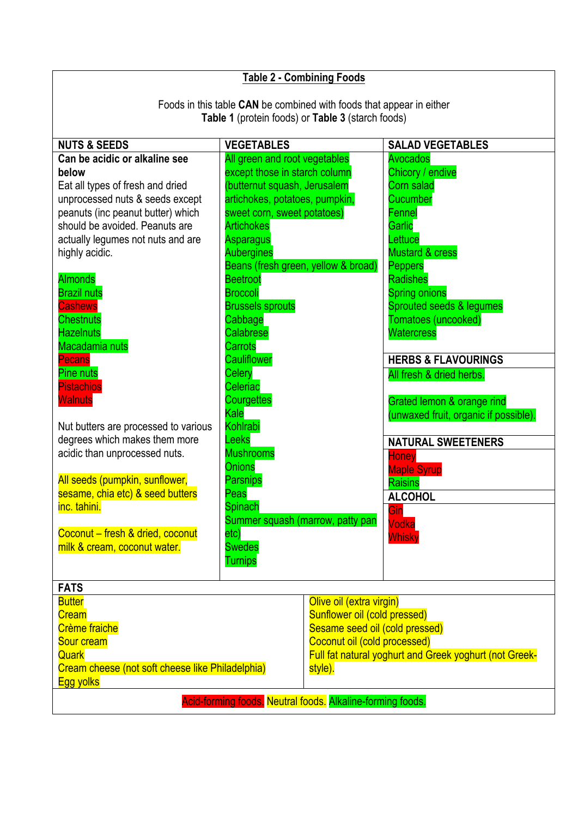| <b>Table 2 - Combining Foods</b>                                                                                                                                                                                                                                                                                                                                                                                                                                                                                                                                                                                                                                                                                |                                                                                                                                                                                                                                                                                                                                                                                                                                                                                                                                                                                                                           |                                                        |                                                                                                                                                                                                                                                                                                                                                                                                                                                                                                                                |  |  |
|-----------------------------------------------------------------------------------------------------------------------------------------------------------------------------------------------------------------------------------------------------------------------------------------------------------------------------------------------------------------------------------------------------------------------------------------------------------------------------------------------------------------------------------------------------------------------------------------------------------------------------------------------------------------------------------------------------------------|---------------------------------------------------------------------------------------------------------------------------------------------------------------------------------------------------------------------------------------------------------------------------------------------------------------------------------------------------------------------------------------------------------------------------------------------------------------------------------------------------------------------------------------------------------------------------------------------------------------------------|--------------------------------------------------------|--------------------------------------------------------------------------------------------------------------------------------------------------------------------------------------------------------------------------------------------------------------------------------------------------------------------------------------------------------------------------------------------------------------------------------------------------------------------------------------------------------------------------------|--|--|
| Foods in this table CAN be combined with foods that appear in either<br>Table 1 (protein foods) or Table 3 (starch foods)                                                                                                                                                                                                                                                                                                                                                                                                                                                                                                                                                                                       |                                                                                                                                                                                                                                                                                                                                                                                                                                                                                                                                                                                                                           |                                                        |                                                                                                                                                                                                                                                                                                                                                                                                                                                                                                                                |  |  |
| <b>NUTS &amp; SEEDS</b>                                                                                                                                                                                                                                                                                                                                                                                                                                                                                                                                                                                                                                                                                         | <b>VEGETABLES</b>                                                                                                                                                                                                                                                                                                                                                                                                                                                                                                                                                                                                         |                                                        | <b>SALAD VEGETABLES</b>                                                                                                                                                                                                                                                                                                                                                                                                                                                                                                        |  |  |
| Can be acidic or alkaline see<br>below<br>Eat all types of fresh and dried<br>unprocessed nuts & seeds except<br>peanuts (inc peanut butter) which<br>should be avoided. Peanuts are<br>actually legumes not nuts and are<br>highly acidic.<br><b>Almonds</b><br><b>Brazil nuts</b><br><b>Cashews</b><br><b>Chestnuts</b><br><b>Hazelnuts</b><br>Macadamia nuts<br><b>Pecans</b><br><b>Pine nuts</b><br><b>Pistachios</b><br><b>Walnuts</b><br>Nut butters are processed to various<br>degrees which makes them more<br>acidic than unprocessed nuts.<br>All seeds (pumpkin, sunflower,<br>sesame, chia etc) & seed butters<br>inc. tahini.<br>Coconut - fresh & dried, coconut<br>milk & cream, coconut water. | All green and root vegetables<br>except those in starch column<br>(butternut squash, Jerusalem<br>artichokes, potatoes, pumpkin,<br>sweet corn, sweet potatoes)<br><b>Artichokes</b><br>Asparagus<br><b>Aubergines</b><br>Beans (fresh green, yellow & broad)<br><b>Beetroot</b><br><b>Broccoli</b><br><b>Brussels sprouts</b><br>Cabbage<br>Calabrese<br>Carrots<br><b>Cauliflower</b><br>Celery<br>Celeriac<br><b>Courgettes</b><br>Kale<br>Kohlrabi<br>Leeks<br><b>Mushrooms</b><br>Onions<br><b>Parsnips</b><br>Peas<br><b>Spinach</b><br>Summer squash (marrow, patty pan<br>etc)<br><b>Swedes</b><br><b>Turnips</b> |                                                        | Avocados<br>Chicory / endive<br>Corn salad<br>Cucumber<br>Fennel<br>Garlic<br>Lettuce<br><b>Mustard &amp; cress</b><br><b>Peppers</b><br><b>Radishes</b><br><b>Spring onions</b><br>Sprouted seeds & legumes<br>Tomatoes (uncooked)<br><b>Watercress</b><br><b>HERBS &amp; FLAVOURINGS</b><br>All fresh & dried herbs.<br>Grated lemon & orange rind<br>(unwaxed fruit, organic if possible).<br><b>NATURAL SWEETENERS</b><br><b>Honey</b><br><b>Maple Syrup</b><br><b>Raisins</b><br><b>ALCOHOL</b><br>Gin<br>Vodka<br>Whisky |  |  |
| <b>FATS</b><br><b>Butter</b><br>Olive oil (extra virgin)                                                                                                                                                                                                                                                                                                                                                                                                                                                                                                                                                                                                                                                        |                                                                                                                                                                                                                                                                                                                                                                                                                                                                                                                                                                                                                           |                                                        |                                                                                                                                                                                                                                                                                                                                                                                                                                                                                                                                |  |  |
| <b>Cream</b>                                                                                                                                                                                                                                                                                                                                                                                                                                                                                                                                                                                                                                                                                                    |                                                                                                                                                                                                                                                                                                                                                                                                                                                                                                                                                                                                                           | Sunflower oil (cold pressed)                           |                                                                                                                                                                                                                                                                                                                                                                                                                                                                                                                                |  |  |
| <b>Crème fraiche</b>                                                                                                                                                                                                                                                                                                                                                                                                                                                                                                                                                                                                                                                                                            |                                                                                                                                                                                                                                                                                                                                                                                                                                                                                                                                                                                                                           | Sesame seed oil (cold pressed)                         |                                                                                                                                                                                                                                                                                                                                                                                                                                                                                                                                |  |  |
| Sour cream                                                                                                                                                                                                                                                                                                                                                                                                                                                                                                                                                                                                                                                                                                      |                                                                                                                                                                                                                                                                                                                                                                                                                                                                                                                                                                                                                           | Coconut oil (cold processed)                           |                                                                                                                                                                                                                                                                                                                                                                                                                                                                                                                                |  |  |
| Quark                                                                                                                                                                                                                                                                                                                                                                                                                                                                                                                                                                                                                                                                                                           |                                                                                                                                                                                                                                                                                                                                                                                                                                                                                                                                                                                                                           | Full fat natural yoghurt and Greek yoghurt (not Greek- |                                                                                                                                                                                                                                                                                                                                                                                                                                                                                                                                |  |  |
| Cream cheese (not soft cheese like Philadelphia)<br><b>Egg yolks</b>                                                                                                                                                                                                                                                                                                                                                                                                                                                                                                                                                                                                                                            |                                                                                                                                                                                                                                                                                                                                                                                                                                                                                                                                                                                                                           | style).                                                |                                                                                                                                                                                                                                                                                                                                                                                                                                                                                                                                |  |  |
| Acid-forming foods. Neutral foods. Alkaline-forming foods.                                                                                                                                                                                                                                                                                                                                                                                                                                                                                                                                                                                                                                                      |                                                                                                                                                                                                                                                                                                                                                                                                                                                                                                                                                                                                                           |                                                        |                                                                                                                                                                                                                                                                                                                                                                                                                                                                                                                                |  |  |